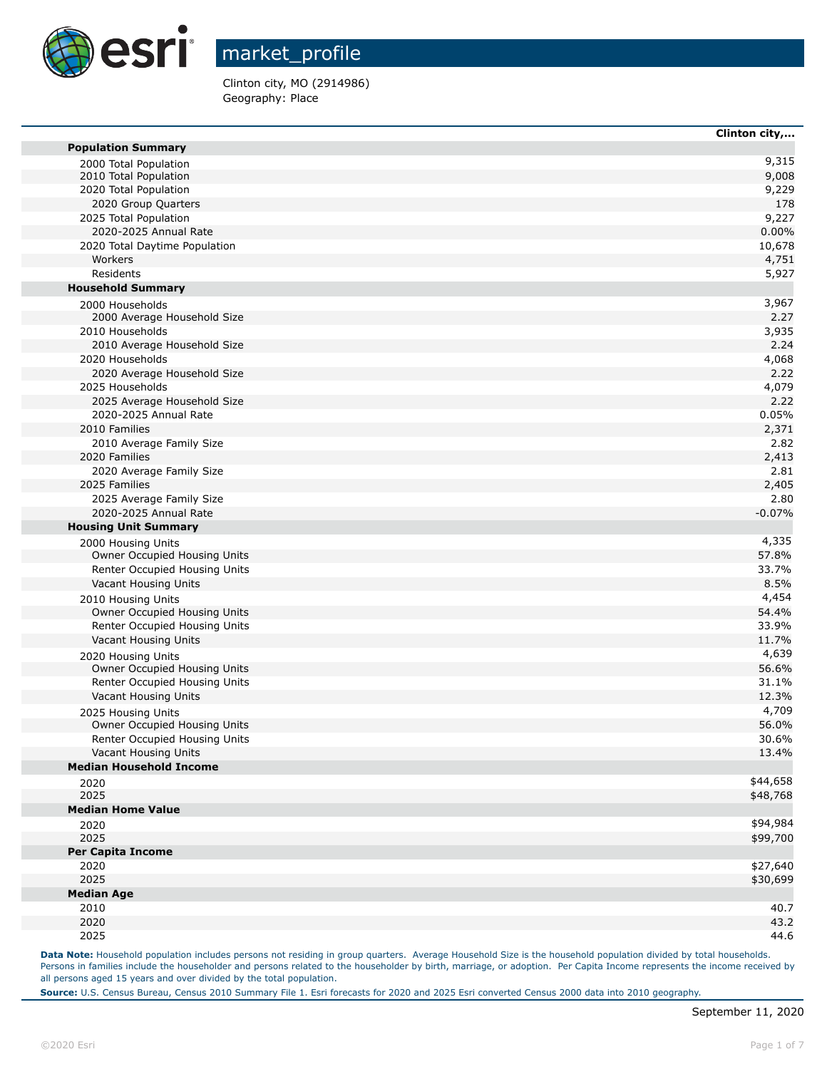

Clinton city, MO (2914986) Geography: Place

|                                                | Clinton city,        |
|------------------------------------------------|----------------------|
| <b>Population Summary</b>                      |                      |
| 2000 Total Population                          | 9,315                |
| 2010 Total Population                          | 9,008                |
| 2020 Total Population                          | 9,229                |
| 2020 Group Quarters                            | 178                  |
| 2025 Total Population                          | 9,227                |
| 2020-2025 Annual Rate                          | 0.00%                |
| 2020 Total Daytime Population<br>Workers       | 10,678               |
| Residents                                      | 4,751                |
| <b>Household Summary</b>                       | 5,927                |
|                                                | 3,967                |
| 2000 Households<br>2000 Average Household Size | 2.27                 |
| 2010 Households                                | 3,935                |
| 2010 Average Household Size                    | 2.24                 |
| 2020 Households                                | 4,068                |
| 2020 Average Household Size                    | 2.22                 |
| 2025 Households                                | 4,079                |
| 2025 Average Household Size                    | 2.22                 |
| 2020-2025 Annual Rate                          | 0.05%                |
| 2010 Families                                  | 2,371                |
| 2010 Average Family Size                       | 2.82                 |
| 2020 Families                                  | 2,413                |
| 2020 Average Family Size                       | 2.81                 |
| 2025 Families                                  | 2,405                |
| 2025 Average Family Size                       | 2.80                 |
| 2020-2025 Annual Rate                          | $-0.07%$             |
| <b>Housing Unit Summary</b>                    |                      |
| 2000 Housing Units                             | 4,335                |
| Owner Occupied Housing Units                   | 57.8%                |
| Renter Occupied Housing Units                  | 33.7%                |
| Vacant Housing Units                           | 8.5%                 |
| 2010 Housing Units                             | 4,454                |
| Owner Occupied Housing Units                   | 54.4%                |
| Renter Occupied Housing Units                  | 33.9%                |
| Vacant Housing Units                           | 11.7%                |
| 2020 Housing Units                             | 4,639                |
| Owner Occupied Housing Units                   | 56.6%                |
| Renter Occupied Housing Units                  | 31.1%                |
| Vacant Housing Units                           | 12.3%                |
| 2025 Housing Units                             | 4,709                |
| Owner Occupied Housing Units                   | 56.0%                |
| Renter Occupied Housing Units                  | 30.6%                |
| Vacant Housing Units                           | 13.4%                |
| <b>Median Household Income</b>                 |                      |
| 2020                                           | \$44,658             |
| 2025                                           | \$48,768             |
| <b>Median Home Value</b>                       |                      |
| 2020                                           | \$94,984             |
| 2025                                           | \$99,700             |
| <b>Per Capita Income</b><br>2020               |                      |
| 2025                                           | \$27,640<br>\$30,699 |
|                                                |                      |
| <b>Median Age</b>                              | 40.7                 |
| 2010<br>2020                                   | 43.2                 |
| 2025                                           | 44.6                 |
|                                                |                      |

Data Note: Household population includes persons not residing in group quarters. Average Household Size is the household population divided by total households. Persons in families include the householder and persons related to the householder by birth, marriage, or adoption. Per Capita Income represents the income received by all persons aged 15 years and over divided by the total population.

**Source:** U.S. Census Bureau, Census 2010 Summary File 1. Esri forecasts for 2020 and 2025 Esri converted Census 2000 data into 2010 geography.

**The State**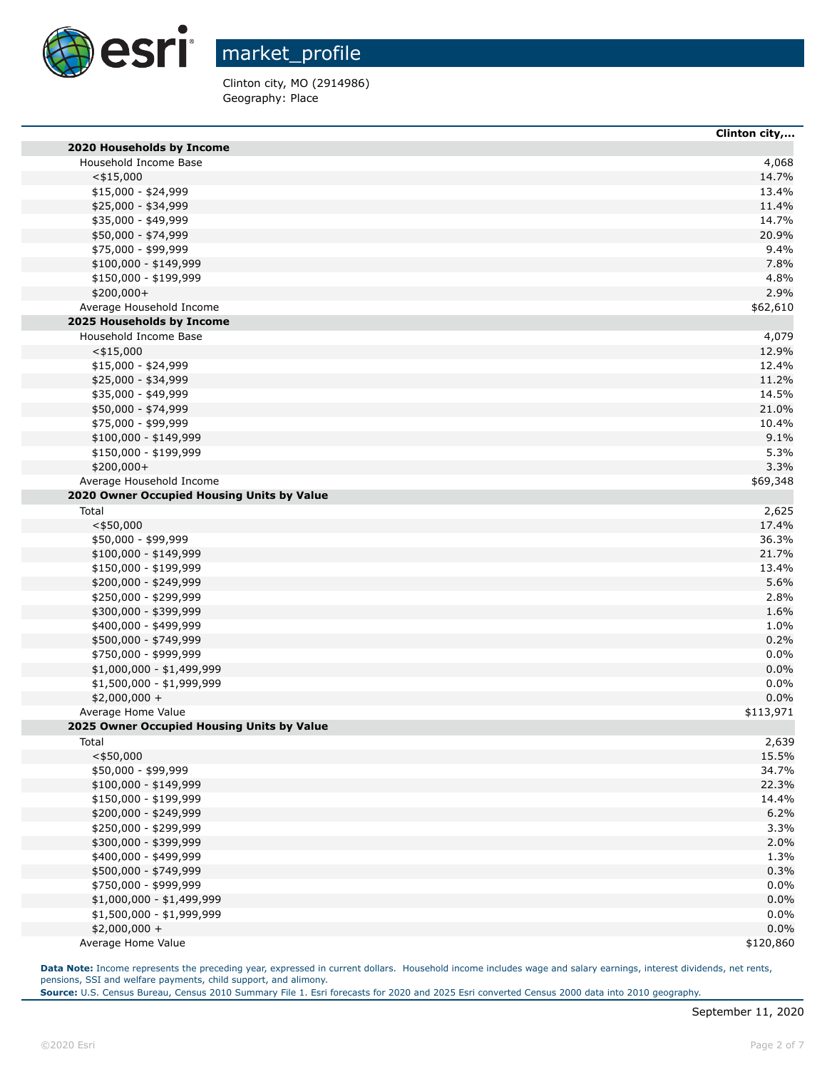

Clinton city, MO (2914986) Geography: Place

|                                            | CHILON CIty, |
|--------------------------------------------|--------------|
| 2020 Households by Income                  |              |
| Household Income Base                      | 4,068        |
| $<$ \$15,000                               | 14.7%        |
| \$15,000 - \$24,999                        | 13.4%        |
| \$25,000 - \$34,999                        | 11.4%        |
| \$35,000 - \$49,999                        | 14.7%        |
| \$50,000 - \$74,999                        | 20.9%        |
| \$75,000 - \$99,999                        | 9.4%         |
| \$100,000 - \$149,999                      | 7.8%         |
| \$150,000 - \$199,999                      | 4.8%         |
| \$200,000+                                 | 2.9%         |
| Average Household Income                   | \$62,610     |
| 2025 Households by Income                  |              |
| Household Income Base                      | 4,079        |
| $<$ \$15,000                               | 12.9%        |
| \$15,000 - \$24,999                        | 12.4%        |
| \$25,000 - \$34,999                        | 11.2%        |
| \$35,000 - \$49,999                        | 14.5%        |
| \$50,000 - \$74,999                        | 21.0%        |
| \$75,000 - \$99,999                        | 10.4%        |
| $$100,000 - $149,999$                      | 9.1%         |
| \$150,000 - \$199,999                      | 5.3%         |
| \$200,000+                                 | 3.3%         |
| Average Household Income                   | \$69,348     |
| 2020 Owner Occupied Housing Units by Value |              |
| Total                                      | 2,625        |
| $<$ \$50,000                               | 17.4%        |
| \$50,000 - \$99,999                        | 36.3%        |
| \$100,000 - \$149,999                      | 21.7%        |
| \$150,000 - \$199,999                      | 13.4%        |
| \$200,000 - \$249,999                      | 5.6%         |
| \$250,000 - \$299,999                      | 2.8%         |
| \$300,000 - \$399,999                      | 1.6%         |
| \$400,000 - \$499,999                      | 1.0%         |
| \$500,000 - \$749,999                      | 0.2%         |
| \$750,000 - \$999,999                      | 0.0%         |
| \$1,000,000 - \$1,499,999                  | 0.0%         |
| \$1,500,000 - \$1,999,999                  | 0.0%         |
| $$2,000,000 +$                             | 0.0%         |
| Average Home Value                         | \$113,971    |
| 2025 Owner Occupied Housing Units by Value |              |
| Total                                      | 2,639        |
| $<$ \$50,000                               | 15.5%        |
| \$50,000 - \$99,999                        | 34.7%        |
| $$100,000 - $149,999$                      | 22.3%        |
| \$150,000 - \$199,999                      | 14.4%        |
| \$200,000 - \$249,999                      | 6.2%         |
| \$250,000 - \$299,999                      | 3.3%         |
| \$300,000 - \$399,999                      | 2.0%         |
| \$400,000 - \$499,999                      | 1.3%         |
| \$500,000 - \$749,999                      | 0.3%         |
| \$750,000 - \$999,999                      | 0.0%         |
| \$1,000,000 - \$1,499,999                  | 0.0%         |
| \$1,500,000 - \$1,999,999                  | 0.0%         |
| $$2,000,000 +$                             | 0.0%         |
| Average Home Value                         | \$120,860    |

Data Note: Income represents the preceding year, expressed in current dollars. Household income includes wage and salary earnings, interest dividends, net rents, pensions, SSI and welfare payments, child support, and alimony.

**Source:** U.S. Census Bureau, Census 2010 Summary File 1. Esri forecasts for 2020 and 2025 Esri converted Census 2000 data into 2010 geography.

**Clinton city,...**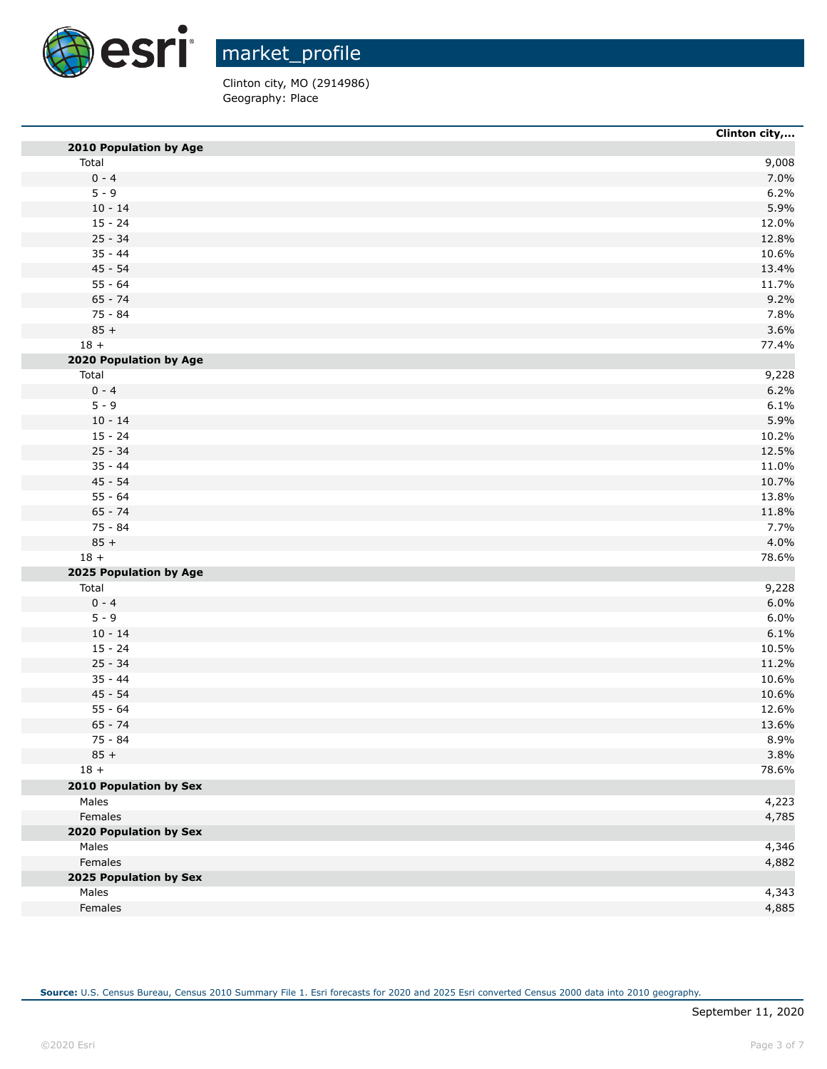

Clinton city, MO (2914986) Geography: Place

| 2010 Population by Age<br>Total<br>$0 - 4$<br>$5 - 9$<br>$10 - 14$<br>$15 - 24$<br>$25 - 34$<br>$35 - 44$<br>$45 - 54$<br>$55 - 64$<br>$65 - 74$<br>75 - 84<br>$85 +$<br>$18 +$<br>2020 Population by Age | 9,008                                                                                     |
|-----------------------------------------------------------------------------------------------------------------------------------------------------------------------------------------------------------|-------------------------------------------------------------------------------------------|
|                                                                                                                                                                                                           | 7.0%<br>6.2%<br>5.9%<br>12.0%<br>12.8%<br>10.6%<br>13.4%<br>11.7%<br>9.2%<br>7.8%<br>3.6% |
|                                                                                                                                                                                                           |                                                                                           |
|                                                                                                                                                                                                           |                                                                                           |
|                                                                                                                                                                                                           |                                                                                           |
|                                                                                                                                                                                                           |                                                                                           |
|                                                                                                                                                                                                           |                                                                                           |
|                                                                                                                                                                                                           |                                                                                           |
|                                                                                                                                                                                                           |                                                                                           |
|                                                                                                                                                                                                           |                                                                                           |
|                                                                                                                                                                                                           |                                                                                           |
|                                                                                                                                                                                                           |                                                                                           |
|                                                                                                                                                                                                           |                                                                                           |
|                                                                                                                                                                                                           |                                                                                           |
|                                                                                                                                                                                                           | 77.4%                                                                                     |
|                                                                                                                                                                                                           |                                                                                           |
| Total                                                                                                                                                                                                     | 9,228                                                                                     |
| $0 - 4$                                                                                                                                                                                                   | 6.2%                                                                                      |
| $5 - 9$                                                                                                                                                                                                   | 6.1%                                                                                      |
| $10 - 14$                                                                                                                                                                                                 | 5.9%                                                                                      |
| $15 - 24$                                                                                                                                                                                                 | 10.2%                                                                                     |
| $25 - 34$                                                                                                                                                                                                 | 12.5%                                                                                     |
| $35 - 44$                                                                                                                                                                                                 | 11.0%                                                                                     |
| $45 - 54$                                                                                                                                                                                                 | 10.7%                                                                                     |
| $55 - 64$                                                                                                                                                                                                 | 13.8%                                                                                     |
| $65 - 74$                                                                                                                                                                                                 | 11.8%                                                                                     |
| 75 - 84                                                                                                                                                                                                   | 7.7%                                                                                      |
| $85 +$                                                                                                                                                                                                    | 4.0%                                                                                      |
| $18 +$                                                                                                                                                                                                    | 78.6%                                                                                     |
| 2025 Population by Age                                                                                                                                                                                    |                                                                                           |
| Total                                                                                                                                                                                                     | 9,228                                                                                     |
| $0 - 4$                                                                                                                                                                                                   | 6.0%                                                                                      |
| $5 - 9$                                                                                                                                                                                                   | 6.0%                                                                                      |
| $10 - 14$                                                                                                                                                                                                 | 6.1%                                                                                      |
| $15 - 24$                                                                                                                                                                                                 | 10.5%                                                                                     |
| $25 - 34$                                                                                                                                                                                                 | 11.2%                                                                                     |
| $35 - 44$                                                                                                                                                                                                 | 10.6%                                                                                     |
| $45 - 54$                                                                                                                                                                                                 | 10.6%                                                                                     |
| $55 - 64$                                                                                                                                                                                                 | 12.6%                                                                                     |
| $65 - 74$                                                                                                                                                                                                 | 13.6%                                                                                     |
| 75 - 84                                                                                                                                                                                                   | 8.9%                                                                                      |
| $85 +$                                                                                                                                                                                                    | 3.8%                                                                                      |
| $18 +$                                                                                                                                                                                                    | 78.6%                                                                                     |
| 2010 Population by Sex                                                                                                                                                                                    |                                                                                           |
| Males                                                                                                                                                                                                     | 4,223                                                                                     |
| Females                                                                                                                                                                                                   | 4,785                                                                                     |
| 2020 Population by Sex                                                                                                                                                                                    |                                                                                           |
| Males                                                                                                                                                                                                     | 4,346                                                                                     |
| Females                                                                                                                                                                                                   | 4,882                                                                                     |
| 2025 Population by Sex                                                                                                                                                                                    |                                                                                           |
| Males                                                                                                                                                                                                     | 4,343                                                                                     |
| Females                                                                                                                                                                                                   | 4,885                                                                                     |

**Source:** U.S. Census Bureau, Census 2010 Summary File 1. Esri forecasts for 2020 and 2025 Esri converted Census 2000 data into 2010 geography.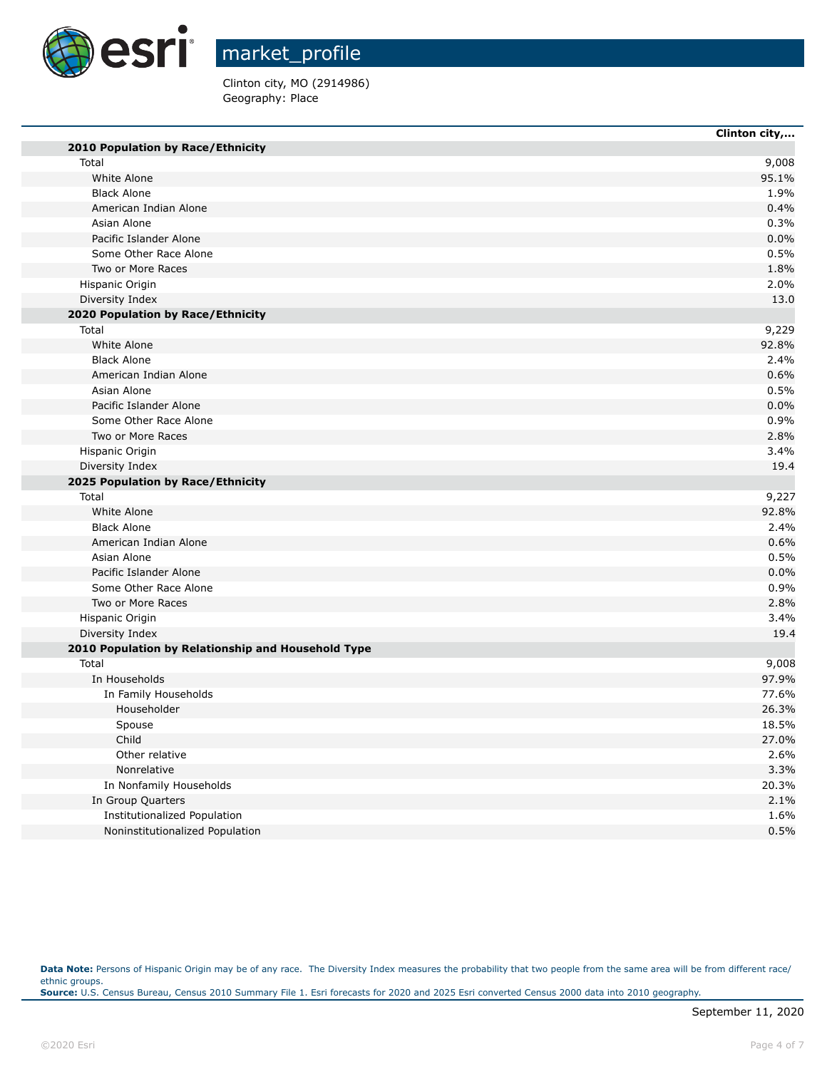

٠

г

٠

market\_profile

Clinton city, MO (2914986) Geography: Place

|                                                    | Clinton city, |
|----------------------------------------------------|---------------|
| 2010 Population by Race/Ethnicity                  |               |
| Total                                              | 9,008         |
| White Alone                                        | 95.1%         |
| <b>Black Alone</b>                                 | 1.9%          |
| American Indian Alone                              | 0.4%          |
| Asian Alone                                        | 0.3%          |
| Pacific Islander Alone                             | 0.0%          |
| Some Other Race Alone                              | 0.5%          |
| Two or More Races                                  | 1.8%          |
| Hispanic Origin                                    | 2.0%          |
| Diversity Index                                    | 13.0          |
| 2020 Population by Race/Ethnicity                  |               |
| Total                                              | 9,229         |
| White Alone                                        | 92.8%         |
| <b>Black Alone</b>                                 | 2.4%          |
| American Indian Alone                              | 0.6%          |
| Asian Alone                                        | 0.5%          |
| Pacific Islander Alone                             | 0.0%          |
| Some Other Race Alone                              | 0.9%          |
| Two or More Races                                  | 2.8%          |
| Hispanic Origin                                    | 3.4%          |
| Diversity Index                                    | 19.4          |
| 2025 Population by Race/Ethnicity                  |               |
| Total                                              | 9,227         |
| White Alone                                        | 92.8%         |
| <b>Black Alone</b>                                 | 2.4%          |
| American Indian Alone                              | 0.6%          |
| Asian Alone                                        | 0.5%          |
| Pacific Islander Alone                             | 0.0%          |
| Some Other Race Alone                              | 0.9%          |
| Two or More Races                                  | 2.8%          |
| Hispanic Origin                                    | 3.4%          |
| Diversity Index                                    | 19.4          |
| 2010 Population by Relationship and Household Type |               |
| Total                                              | 9,008         |
| In Households                                      | 97.9%         |
| In Family Households                               | 77.6%         |
| Householder                                        | 26.3%         |
| Spouse                                             | 18.5%         |
| Child                                              | 27.0%         |
| Other relative                                     | 2.6%          |
| Nonrelative                                        | 3.3%          |
| In Nonfamily Households                            | 20.3%         |
| In Group Quarters                                  | 2.1%          |
| Institutionalized Population                       | 1.6%          |
| Noninstitutionalized Population                    | 0.5%          |
|                                                    |               |

Data Note: Persons of Hispanic Origin may be of any race. The Diversity Index measures the probability that two people from the same area will be from different race/ ethnic groups. **Source:** U.S. Census Bureau, Census 2010 Summary File 1. Esri forecasts for 2020 and 2025 Esri converted Census 2000 data into 2010 geography.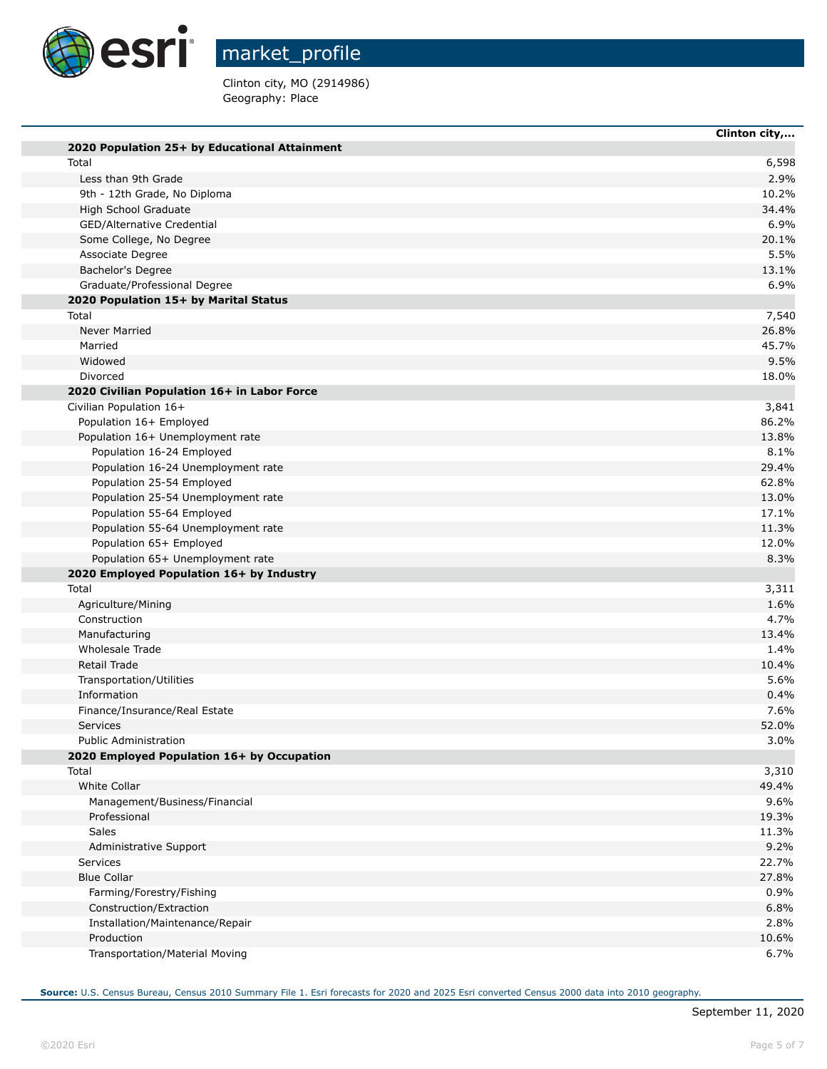

T.

m

T.

market\_profile

Clinton city, MO (2914986) Geography: Place

|                                               | Clinton city, |
|-----------------------------------------------|---------------|
| 2020 Population 25+ by Educational Attainment |               |
| Total                                         | 6,598         |
| Less than 9th Grade                           | 2.9%          |
| 9th - 12th Grade, No Diploma                  | 10.2%         |
| High School Graduate                          | 34.4%         |
| GED/Alternative Credential                    | 6.9%          |
| Some College, No Degree                       | 20.1%         |
| Associate Degree                              | 5.5%          |
| Bachelor's Degree                             | 13.1%         |
| Graduate/Professional Degree                  | 6.9%          |
| 2020 Population 15+ by Marital Status         |               |
| Total                                         | 7,540         |
| <b>Never Married</b>                          | 26.8%         |
| Married                                       | 45.7%         |
| Widowed                                       | 9.5%          |
| Divorced                                      | 18.0%         |
| 2020 Civilian Population 16+ in Labor Force   |               |
| Civilian Population 16+                       | 3,841         |
| Population 16+ Employed                       | 86.2%         |
| Population 16+ Unemployment rate              | 13.8%         |
| Population 16-24 Employed                     | 8.1%          |
| Population 16-24 Unemployment rate            | 29.4%         |
| Population 25-54 Employed                     | 62.8%         |
| Population 25-54 Unemployment rate            | 13.0%         |
| Population 55-64 Employed                     | 17.1%         |
| Population 55-64 Unemployment rate            | 11.3%         |
| Population 65+ Employed                       | 12.0%         |
| Population 65+ Unemployment rate              | 8.3%          |
| 2020 Employed Population 16+ by Industry      |               |
| Total                                         | 3,311         |
| Agriculture/Mining                            | 1.6%          |
| Construction                                  | 4.7%          |
| Manufacturing                                 | 13.4%         |
| Wholesale Trade                               | 1.4%          |
| Retail Trade                                  | 10.4%         |
| Transportation/Utilities                      | 5.6%          |
| Information                                   | 0.4%          |
| Finance/Insurance/Real Estate<br>Services     | 7.6%          |
| <b>Public Administration</b>                  | 52.0%<br>3.0% |
| 2020 Employed Population 16+ by Occupation    |               |
| Total                                         | 3,310         |
| <b>White Collar</b>                           | 49.4%         |
| Management/Business/Financial                 | 9.6%          |
| Professional                                  | 19.3%         |
| Sales                                         | 11.3%         |
| Administrative Support                        | 9.2%          |
| Services                                      | 22.7%         |
| <b>Blue Collar</b>                            | 27.8%         |
| Farming/Forestry/Fishing                      | 0.9%          |
| Construction/Extraction                       | 6.8%          |
| Installation/Maintenance/Repair               | 2.8%          |
| Production                                    | 10.6%         |
| Transportation/Material Moving                | 6.7%          |
|                                               |               |

**Source:** U.S. Census Bureau, Census 2010 Summary File 1. Esri forecasts for 2020 and 2025 Esri converted Census 2000 data into 2010 geography.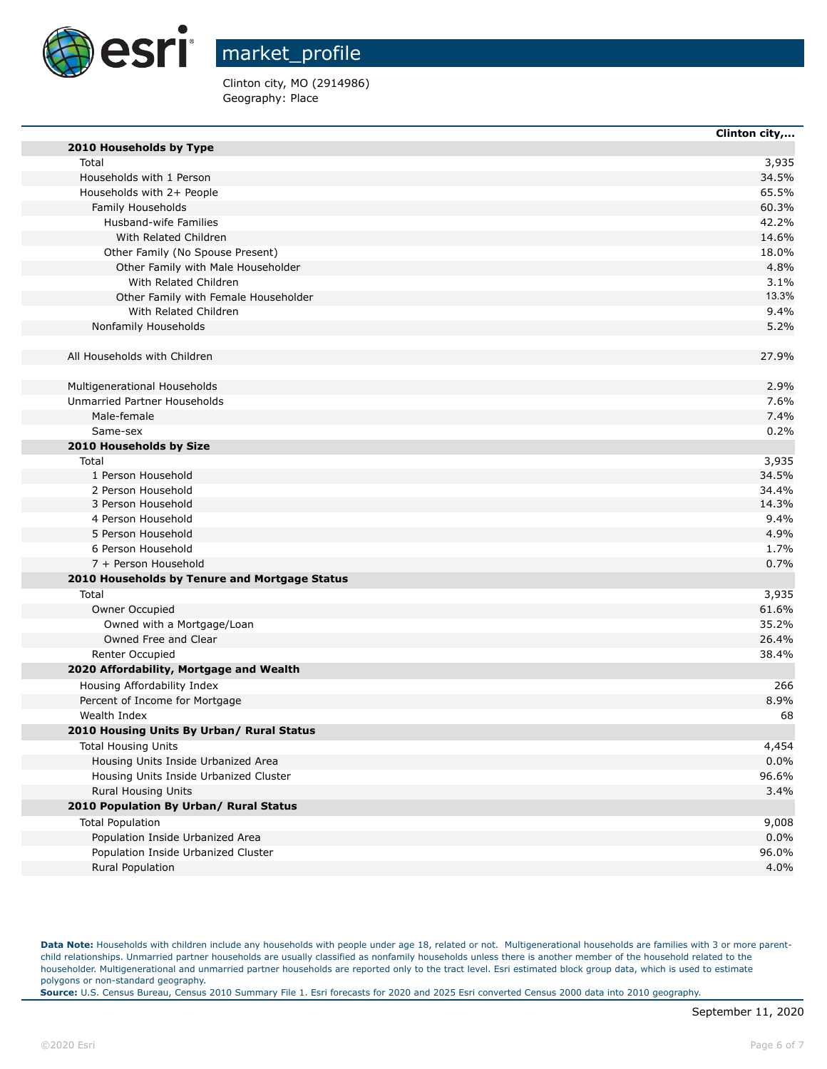

Clinton city, MO (2914986) Geography: Place

|                                               | Clinton city, |
|-----------------------------------------------|---------------|
| 2010 Households by Type                       |               |
| Total                                         | 3,935         |
| Households with 1 Person                      | 34.5%         |
| Households with 2+ People                     | 65.5%         |
| Family Households                             | 60.3%         |
| Husband-wife Families                         | 42.2%         |
| With Related Children                         | 14.6%         |
| Other Family (No Spouse Present)              | 18.0%         |
| Other Family with Male Householder            | 4.8%          |
| With Related Children                         | 3.1%          |
| Other Family with Female Householder          | 13.3%         |
| With Related Children                         | 9.4%          |
| Nonfamily Households                          | 5.2%          |
| All Households with Children                  | 27.9%         |
| Multigenerational Households                  | 2.9%          |
| Unmarried Partner Households                  | 7.6%          |
| Male-female                                   | 7.4%          |
| Same-sex                                      | 0.2%          |
| 2010 Households by Size                       |               |
| Total                                         | 3,935         |
| 1 Person Household                            | 34.5%         |
| 2 Person Household                            | 34.4%         |
| 3 Person Household                            | 14.3%         |
| 4 Person Household                            | 9.4%          |
| 5 Person Household                            | 4.9%          |
| 6 Person Household                            | 1.7%          |
| 7 + Person Household                          | 0.7%          |
| 2010 Households by Tenure and Mortgage Status |               |
| Total                                         | 3,935         |
| Owner Occupied                                | 61.6%         |
| Owned with a Mortgage/Loan                    | 35.2%         |
| Owned Free and Clear                          | 26.4%         |
| <b>Renter Occupied</b>                        | 38.4%         |
| 2020 Affordability, Mortgage and Wealth       |               |
| Housing Affordability Index                   | 266           |
| Percent of Income for Mortgage                | 8.9%          |
| Wealth Index                                  | 68            |
| 2010 Housing Units By Urban/ Rural Status     |               |
| <b>Total Housing Units</b>                    | 4,454         |
| Housing Units Inside Urbanized Area           | 0.0%          |
| Housing Units Inside Urbanized Cluster        | 96.6%         |
| <b>Rural Housing Units</b>                    | 3.4%          |
| 2010 Population By Urban/ Rural Status        |               |
| <b>Total Population</b>                       | 9,008         |
| Population Inside Urbanized Area              | 0.0%          |
| Population Inside Urbanized Cluster           | 96.0%         |
| Rural Population                              | 4.0%          |

Data Note: Households with children include any households with people under age 18, related or not. Multigenerational households are families with 3 or more parentchild relationships. Unmarried partner households are usually classified as nonfamily households unless there is another member of the household related to the householder. Multigenerational and unmarried partner households are reported only to the tract level. Esri estimated block group data, which is used to estimate polygons or non-standard geography.

**Source:** U.S. Census Bureau, Census 2010 Summary File 1. Esri forecasts for 2020 and 2025 Esri converted Census 2000 data into 2010 geography.